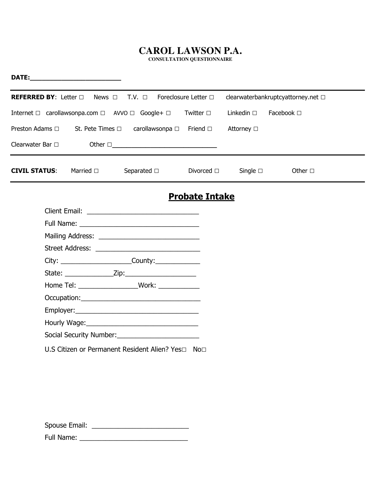## **CAROL LAWSON P.A.**

**CONSULTATION QUESTIONNAIRE** 

| DATE: ________________________ |  |                                                                     |                       |                    |                                    |  |
|--------------------------------|--|---------------------------------------------------------------------|-----------------------|--------------------|------------------------------------|--|
|                                |  | <b>REFERRED BY:</b> Letter □ News □ T.V. □ Foreclosure Letter □     |                       |                    | clearwaterbankruptcyattorney.net □ |  |
|                                |  | Internet □ carollawsonpa.com □ AVVO □ Google+ □                     | Twitter $\Box$        | Linkedin $\square$ | Facebook $\Box$                    |  |
|                                |  | Preston Adams □ St. Pete Times □ carollawsonpa □ Friend □           |                       | Attorney □         |                                    |  |
|                                |  | Clearwater Bar $\Box$ Other $\Box$                                  |                       |                    |                                    |  |
| <b>CIVIL STATUS:</b> Married D |  | Separated $\square$                                                 | Divorced $\square$    | Single $\square$   | Other $\square$                    |  |
|                                |  |                                                                     | <b>Probate Intake</b> |                    |                                    |  |
|                                |  |                                                                     |                       |                    |                                    |  |
|                                |  |                                                                     |                       |                    |                                    |  |
|                                |  |                                                                     |                       |                    |                                    |  |
|                                |  |                                                                     |                       |                    |                                    |  |
|                                |  |                                                                     |                       |                    |                                    |  |
|                                |  |                                                                     |                       |                    |                                    |  |
|                                |  | Home Tel: _______________________Work: ______________               |                       |                    |                                    |  |
|                                |  |                                                                     |                       |                    |                                    |  |
|                                |  |                                                                     |                       |                    |                                    |  |
|                                |  |                                                                     |                       |                    |                                    |  |
|                                |  |                                                                     |                       |                    |                                    |  |
|                                |  | U.S Citizen or Permanent Resident Alien? Yes $\square$ No $\square$ |                       |                    |                                    |  |

Spouse Email: \_\_\_\_\_\_\_\_\_\_\_\_\_\_\_\_\_\_\_\_\_\_\_\_\_\_

Full Name: \_\_\_\_\_\_\_\_\_\_\_\_\_\_\_\_\_\_\_\_\_\_\_\_\_\_\_\_\_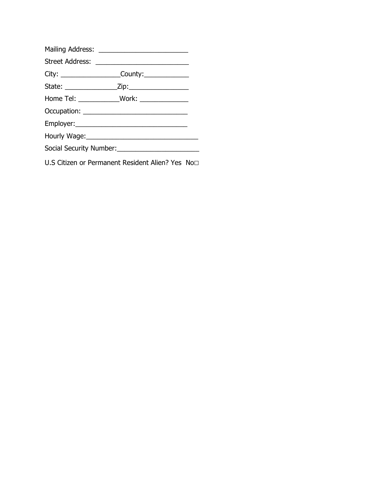| Home Tel: _____________Work: ______________                |  |
|------------------------------------------------------------|--|
|                                                            |  |
|                                                            |  |
|                                                            |  |
| Social Security Number:<br><u> Social Security Number:</u> |  |
|                                                            |  |

U.S Citizen or Permanent Resident Alien? Yes No□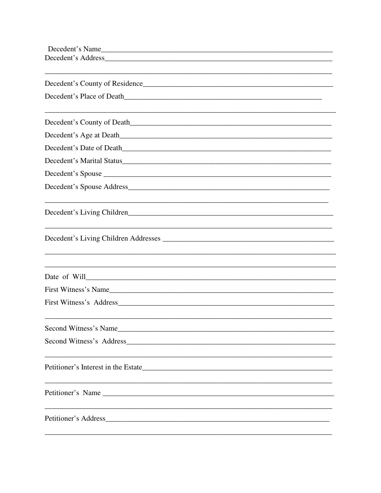| Decedent's Name<br><u> 1989 - Johann John Stein, markin fan it fjort fan it fjort fan it fjort fan it fjort fan it fjort fan it fjor</u> |                                                                                                                       |
|------------------------------------------------------------------------------------------------------------------------------------------|-----------------------------------------------------------------------------------------------------------------------|
|                                                                                                                                          |                                                                                                                       |
|                                                                                                                                          |                                                                                                                       |
| Decedent's County of Residence                                                                                                           |                                                                                                                       |
|                                                                                                                                          |                                                                                                                       |
|                                                                                                                                          |                                                                                                                       |
|                                                                                                                                          |                                                                                                                       |
|                                                                                                                                          |                                                                                                                       |
| Decedent's Date of Death                                                                                                                 |                                                                                                                       |
| Decedent's Marital Status                                                                                                                |                                                                                                                       |
|                                                                                                                                          |                                                                                                                       |
|                                                                                                                                          |                                                                                                                       |
|                                                                                                                                          |                                                                                                                       |
|                                                                                                                                          |                                                                                                                       |
|                                                                                                                                          |                                                                                                                       |
|                                                                                                                                          |                                                                                                                       |
|                                                                                                                                          |                                                                                                                       |
|                                                                                                                                          |                                                                                                                       |
|                                                                                                                                          |                                                                                                                       |
| First Witness's Name                                                                                                                     |                                                                                                                       |
|                                                                                                                                          |                                                                                                                       |
|                                                                                                                                          |                                                                                                                       |
| Second Witness's Name                                                                                                                    | <u> 1989 - Johann Johann Stoff, deutscher Stoffen und der Stoffen und der Stoffen und der Stoffen und der Stoffen</u> |
|                                                                                                                                          |                                                                                                                       |
|                                                                                                                                          |                                                                                                                       |
|                                                                                                                                          |                                                                                                                       |
|                                                                                                                                          |                                                                                                                       |
|                                                                                                                                          |                                                                                                                       |
|                                                                                                                                          |                                                                                                                       |
|                                                                                                                                          |                                                                                                                       |
| Petitioner's Address                                                                                                                     |                                                                                                                       |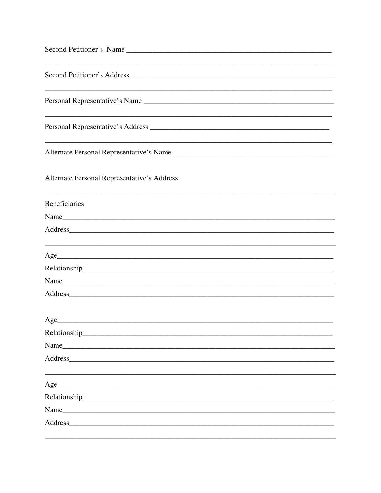| Second Petitioner's Name                                                                                                                                                                                                       |
|--------------------------------------------------------------------------------------------------------------------------------------------------------------------------------------------------------------------------------|
|                                                                                                                                                                                                                                |
|                                                                                                                                                                                                                                |
| ,我们也不能在这里的人,我们也不能在这里的人,我们也不能在这里的人,我们也不能在这里的人,我们也不能在这里的人,我们也不能在这里的人,我们也不能在这里的人,我们                                                                                                                                               |
| Alternate Personal Representative's Name                                                                                                                                                                                       |
| <u> 1989 - Johann Stoff, amerikansk politiker (d. 1989)</u>                                                                                                                                                                    |
| <b>Beneficiaries</b>                                                                                                                                                                                                           |
|                                                                                                                                                                                                                                |
| Address and the contract of the contract of the contract of the contract of the contract of the contract of the contract of the contract of the contract of the contract of the contract of the contract of the contract of th |
| Age                                                                                                                                                                                                                            |
| Name<br><u> 1980 - Jan James James Barnett, fransk politik (d. 1980)</u>                                                                                                                                                       |
| Address<br><u> 2002 - 2003 - 2003 - 2004 - 2005 - 2006 - 2007 - 2008 - 2009 - 2009 - 2009 - 2009 - 2009 - 2009 - 200</u>                                                                                                       |
| Age                                                                                                                                                                                                                            |
|                                                                                                                                                                                                                                |
| Name Name and the second contract of the second contract of the second contract of the second contract of the second contract of the second contract of the second contract of the second contract of the second contract of t |
|                                                                                                                                                                                                                                |